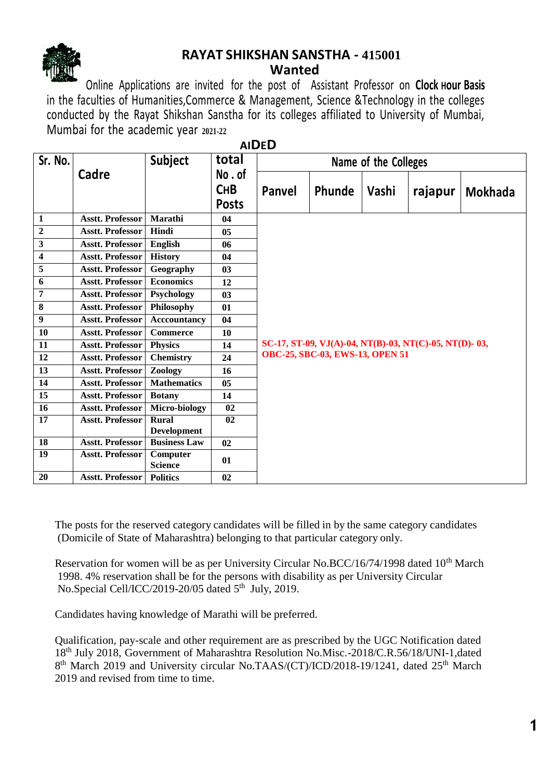

### **RAYAT SHIKSHAN SANSTHA - 415001 Wanted**

Online Applications are invited for the post of Assistant Professor on **Clock Hour Basis** in the faculties of Humanities,Commerce & Management, Science &Technology in the colleges conducted by the Rayat Shikshan Sanstha for its colleges affiliated to University of Mumbai, Mumbai for the academic year **2021-22**

| Sr. No.                 |                         | Subject                    | total                               | <b>AIDLD</b><br>Name of the Colleges                                                     |        |       |         |                |  |
|-------------------------|-------------------------|----------------------------|-------------------------------------|------------------------------------------------------------------------------------------|--------|-------|---------|----------------|--|
|                         | Cadre                   |                            | No.of<br><b>CHB</b><br><b>Posts</b> | Panvel                                                                                   | Phunde | Vashi | rajapur | <b>Mokhada</b> |  |
| 1                       | <b>Asstt. Professor</b> | Marathi                    | 04                                  |                                                                                          |        |       |         |                |  |
| $\boldsymbol{2}$        | <b>Asstt. Professor</b> | Hindi                      | 0 <sub>5</sub>                      |                                                                                          |        |       |         |                |  |
| $\overline{\mathbf{3}}$ | <b>Asstt. Professor</b> | English                    | 06                                  |                                                                                          |        |       |         |                |  |
| $\overline{\mathbf{4}}$ | <b>Asstt. Professor</b> | <b>History</b>             | 04                                  |                                                                                          |        |       |         |                |  |
| $\overline{5}$          | <b>Asstt. Professor</b> | Geography                  | 03                                  |                                                                                          |        |       |         |                |  |
| 6                       | <b>Asstt. Professor</b> | <b>Economics</b>           | 12                                  | SC-17, ST-09, VJ(A)-04, NT(B)-03, NT(C)-05, NT(D)-03,<br>OBC-25, SBC-03, EWS-13, OPEN 51 |        |       |         |                |  |
| $\overline{7}$          | <b>Asstt. Professor</b> | Psychology                 | 03                                  |                                                                                          |        |       |         |                |  |
| 8                       | <b>Asstt. Professor</b> | Philosophy                 | 01                                  |                                                                                          |        |       |         |                |  |
| 9                       | <b>Asstt. Professor</b> | <b>Acccountancy</b>        | 04                                  |                                                                                          |        |       |         |                |  |
| 10                      | <b>Asstt. Professor</b> | <b>Commerce</b>            | 10                                  |                                                                                          |        |       |         |                |  |
| 11                      | <b>Asstt. Professor</b> | <b>Physics</b>             | 14                                  |                                                                                          |        |       |         |                |  |
| 12                      | <b>Asstt. Professor</b> | <b>Chemistry</b>           | 24                                  |                                                                                          |        |       |         |                |  |
| 13                      | <b>Asstt. Professor</b> | Zoology                    | 16                                  |                                                                                          |        |       |         |                |  |
| 14                      | <b>Asstt. Professor</b> | <b>Mathematics</b>         | 0 <sub>5</sub>                      |                                                                                          |        |       |         |                |  |
| 15                      | <b>Asstt. Professor</b> | <b>Botany</b>              | 14                                  |                                                                                          |        |       |         |                |  |
| 16                      | <b>Asstt. Professor</b> | Micro-biology              | 02                                  |                                                                                          |        |       |         |                |  |
| $\overline{17}$         | <b>Asstt. Professor</b> | <b>Rural</b>               | $\overline{02}$                     |                                                                                          |        |       |         |                |  |
|                         |                         | <b>Development</b>         |                                     |                                                                                          |        |       |         |                |  |
| 18                      | <b>Asstt. Professor</b> | <b>Business Law</b>        | 02                                  |                                                                                          |        |       |         |                |  |
| $\overline{19}$         | <b>Asstt. Professor</b> | Computer<br><b>Science</b> | 01                                  |                                                                                          |        |       |         |                |  |
| 20                      | <b>Asstt. Professor</b> | <b>Politics</b>            | 02                                  |                                                                                          |        |       |         |                |  |

**AIDED**

The posts for the reserved category candidates will be filled in by the same category candidates (Domicile of State of Maharashtra) belonging to that particular category only.

Reservation for women will be as per University Circular No.BCC/16/74/1998 dated  $10<sup>th</sup>$  March 1998. 4% reservation shall be for the persons with disability as per University Circular No.Special Cell/ICC/2019-20/05 dated 5<sup>th</sup> July, 2019.

Candidates having knowledge of Marathi will be preferred.

Qualification, pay-scale and other requirement are as prescribed by the UGC Notification dated 18th July 2018, Government of Maharashtra Resolution No.Misc.-2018/C.R.56/18/UNI-1,dated 8<sup>th</sup> March 2019 and University circular No.TAAS/(CT)/ICD/2018-19/1241, dated 25<sup>th</sup> March 2019 and revised from time to time.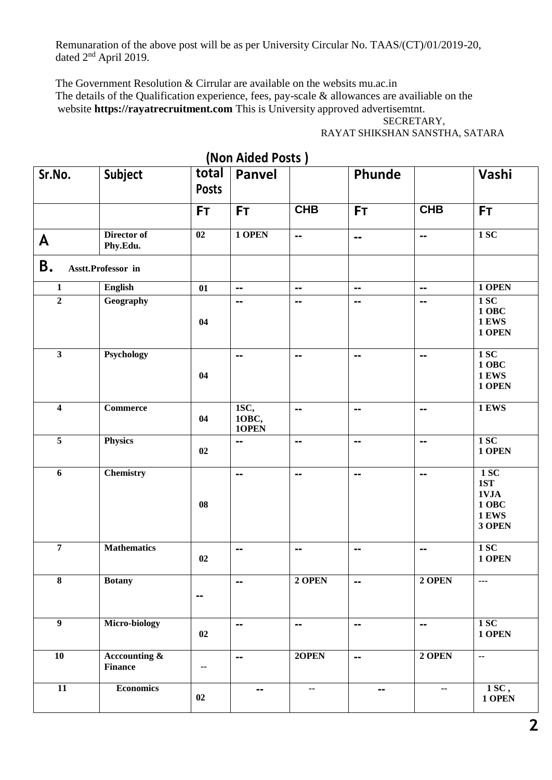Remunaration of the above post will be as per University Circular No. TAAS/(CT)/01/2019-20, dated 2<sup>nd</sup> April 2019.

The Government Resolution & Cirrular are available on the websits mu.ac.in The details of the Qualification experience, fees, pay-scale & allowances are availiable on the website **https://rayatrecruitment.com** This is University approved advertisemtnt.

#### SECRETARY, RAYAT SHIKSHAN SANSTHA, SATARA

|                         |                                           | total           | (IVOII AIUPU POSIS)<br><b>Panvel</b> |                              | Phunde         |                               | Vashi                                                  |
|-------------------------|-------------------------------------------|-----------------|--------------------------------------|------------------------------|----------------|-------------------------------|--------------------------------------------------------|
| Sr.No.                  | <b>Subject</b>                            | <b>Posts</b>    |                                      |                              |                |                               |                                                        |
|                         |                                           | <b>FT</b>       | <b>FT</b>                            | <b>CHB</b>                   | <b>FT</b>      | <b>CHB</b>                    | <b>FT</b>                                              |
| A                       | Director of<br>Phy.Edu.                   | $\overline{02}$ | 1 OPEN                               | $\overline{\phantom{a}}$     | $\frac{1}{2}$  | $\equiv$                      | 1SC                                                    |
| <b>B.</b>               | Asstt.Professor in                        |                 |                                      |                              |                |                               |                                                        |
| $\mathbf{1}$            | <b>English</b>                            | 01              | $\mathbf{m}$                         | $\mathbf{m}$                 | $\mathbf{m}$   | $\frac{1}{2}$                 | 1 OPEN                                                 |
| $\overline{2}$          | Geography                                 | 04              | $\blacksquare$ $\blacksquare$        | $=$                          | $\mathbf{m}$   | $\equiv$                      | <b>1 SC</b><br>1 OBC<br><b>1 EWS</b><br>1 OPEN         |
| $\overline{\mathbf{3}}$ | Psychology                                | 04              | $\sim$                               | $\frac{1}{2}$                | $\sim$         | $\sim$                        | 1SC<br>1 OBC<br><b>1 EWS</b><br>1 OPEN                 |
| $\overline{4}$          | <b>Commerce</b>                           | 04              | ISC,<br>10ВС,<br>10PEN               | $\overline{a}$               | $\overline{a}$ | $=$                           | <b>1 EWS</b>                                           |
| $\overline{5}$          | <b>Physics</b>                            | 02              | $=$                                  | $\blacksquare$               | $\sim$ $\sim$  | $\equiv$                      | 1SC<br>1 OPEN                                          |
| $\boldsymbol{6}$        | <b>Chemistry</b>                          | 08              | $=$                                  | $\qquad \qquad \blacksquare$ | $\sim$         | $\equiv$                      | 1 SC<br>1ST<br>1VJA<br>1 OBC<br><b>1 EWS</b><br>3 OPEN |
| $\overline{7}$          | <b>Mathematics</b>                        | 02              | $\sim$                               | $\frac{1}{2}$                | $\frac{1}{2}$  | $\blacksquare$ $\blacksquare$ | <b>1 SC</b><br>1 OPEN                                  |
| $\overline{\mathbf{8}}$ | <b>Botany</b>                             | $\blacksquare$  | $\overline{\phantom{a}}$             | 2 OPEN                       | $\mathbf{m}$   | 2 OPEN                        | $\overline{\phantom{a}}$                               |
| $\overline{9}$          | Micro-biology                             | 02              | $\mathbf{m}$                         | $\equiv$                     | $\overline{a}$ | $\overline{a}$                | 1SC<br>1 OPEN                                          |
| $\overline{10}$         | <b>Accounting &amp;</b><br><b>Finance</b> | ۰.              | $\frac{1}{2}$                        | 20PEN                        | $\mathbf{m}$   | 2 OPEN                        | $\mathbf{L}$                                           |
| $\overline{11}$         | <b>Economics</b>                          | 02              | --                                   | --                           | $\blacksquare$ | н.                            | 1SC,<br>1 OPEN                                         |

## **(Non Aided Posts )**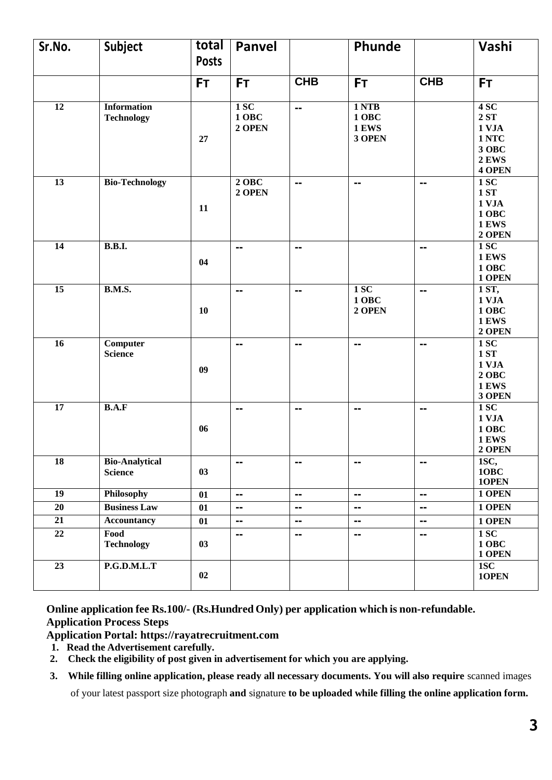| Sr.No.          | <b>Subject</b>                          | total<br><b>Posts</b> | Panvel                        |                          | Phunde                                    |                              | Vashi                                                                  |
|-----------------|-----------------------------------------|-----------------------|-------------------------------|--------------------------|-------------------------------------------|------------------------------|------------------------------------------------------------------------|
|                 |                                         | <b>FT</b>             | <b>FT</b>                     | <b>CHB</b>               | <b>FT</b>                                 | <b>CHB</b>                   | <b>FT</b>                                                              |
| $\overline{12}$ | <b>Information</b><br><b>Technology</b> | 27                    | 1SC<br><b>1 OBC</b><br>2 OPEN | $\overline{\phantom{a}}$ | 1 NTB<br>1 OBC<br>1 EWS<br>3 OPEN         |                              | 4SC<br>$2ST$<br>1 VJA<br>1 NTC<br>3 OBC<br>2 EWS<br>4 OPEN             |
| 13              | <b>Bio-Technology</b>                   | 11                    | $2$ OBC<br>2 OPEN             | $\overline{\phantom{a}}$ | $\blacksquare$                            | $\blacksquare$               | <b>1 SC</b><br><b>1 ST</b><br>1 VJA<br>1 OBC<br><b>1 EWS</b><br>2 OPEN |
| 14              | <b>B.B.I.</b>                           | 04                    | $\blacksquare$                | --                       |                                           | --                           | 1SC<br>1 EWS<br>1 OBC<br>1 OPEN                                        |
| 15              | <b>B.M.S.</b>                           | 10                    | --                            | $=$                      | 1 <sub>SC</sub><br><b>1 OBC</b><br>2 OPEN | --                           | 1 ST,<br>1 VJA<br>1 OBC<br><b>1 EWS</b><br>2 OPEN                      |
| $\overline{16}$ | <b>Computer</b><br><b>Science</b>       | 09                    | --                            | $=$                      | $\blacksquare$                            | $\overline{a}$               | 1SC<br><b>1 ST</b><br>1 VJA<br>$2$ OBC<br>1 EWS<br>3 OPEN              |
| 17              | B.A.F                                   | 06                    | $\blacksquare$                | $=$                      | $\frac{1}{2}$                             | $=$                          | 1SC<br>1 VJA<br>1 OBC<br>1 EWS<br>2 OPEN                               |
| $\overline{18}$ | <b>Bio-Analytical</b><br><b>Science</b> | 03                    | $\blacksquare$                | $\blacksquare$           | $\frac{1}{2}$                             | $\qquad \qquad \blacksquare$ | 1SC,<br>10BC<br>10PEN                                                  |
| $\overline{19}$ | Philosophy                              | 01                    | $\mathbf{m}$                  | $\overline{\phantom{a}}$ | $\equiv$                                  | $\overline{a}$               | 1 OPEN                                                                 |
| 20              | <b>Business Law</b>                     | 01                    | $\qquad \qquad \blacksquare$  | $=$                      | $\blacksquare$                            | $\overline{\phantom{a}}$     | 1 OPEN                                                                 |
| 21              | <b>Accountancy</b>                      | 01                    | $\overline{\phantom{a}}$      | --                       | --                                        | $\blacksquare$               | 1 OPEN                                                                 |
| $\overline{22}$ | Food<br><b>Technology</b>               | 03                    | $\blacksquare$                | $\equiv$                 | $\equiv$                                  | $\blacksquare$               | 1SC<br><b>1 OBC</b><br>1 OPEN                                          |
| $\overline{23}$ | P.G.D.M.L.T                             | 02                    |                               |                          |                                           |                              | 1SC<br>10PEN                                                           |

**Online application fee Rs.100/- (Rs.Hundred Only) per application which is non-refundable. Application Process Steps**

**Application Portal: https://rayatrecruitment.com**

- **1. Read the Advertisement carefully.**
- **2. Check the eligibility of post given in advertisement for which you are applying.**

**3. While filling online application, please ready all necessary documents. You will also require** scanned images

of your latest passport size photograph **and** signature **to be uploaded while filling the online application form.**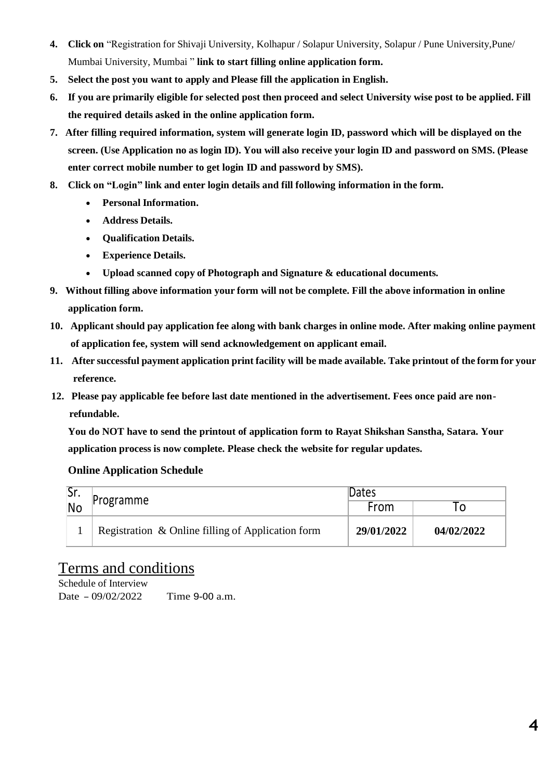- **4. Click on** "Registration for Shivaji University, Kolhapur / Solapur University, Solapur / Pune University,Pune/ Mumbai University, Mumbai " **link to start filling online application form.**
- **5. Select the post you want to apply and Please fill the application in English.**
- 6. If you are primarily eligible for selected post then proceed and select University wise post to be applied. Fill **the required details asked in the online application form.**
- **7. After filling required information, system will generate login ID, password which will be displayed on the** screen. (Use Application no as login ID). You will also receive your login ID and password on SMS. (Please **enter correct mobile number to get login ID and password by SMS).**
- **8. Click on "Login" link and enter login details and fill following information in the form.**
	- **Personal Information.**
	- **Address Details.**
	- **Qualification Details.**
	- **Experience Details.**
	- **Upload scanned copy of Photograph and Signature & educational documents.**
- **9. Without filling above information your form will not be complete. Fill the above information in online application form.**
- 10. Applicant should pay application fee along with bank charges in online mode. After making online payment **of application fee, system will send acknowledgement on applicant email.**
- 11. After successful payment application print facility will be made available. Take printout of the form for your **reference.**
- **12. Please pay applicable fee before last date mentioned in the advertisement. Fees once paid are nonrefundable.**

**You do NOT have to send the printout of application form to Rayat Shikshan Sanstha, Satara. Your application process is now complete. Please check the website for regular updates.**

### **Online Application Schedule**

| . اد      |                                                   | Dates      |            |  |
|-----------|---------------------------------------------------|------------|------------|--|
| <b>No</b> | Programme                                         | From       |            |  |
|           | Registration & Online filling of Application form | 29/01/2022 | 04/02/2022 |  |

# Terms and conditions

Schedule of Interview Date – 09/02/2022 Time 9-00 a.m.